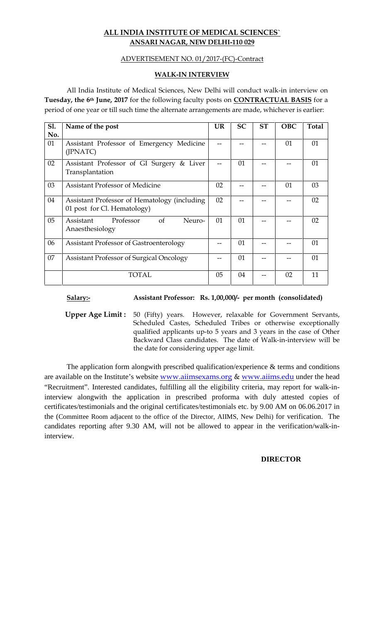## **ALL INDIA INSTITUTE OF MEDICAL SCIENCES` ANSARI NAGAR, NEW DELHI-110 029**

## ADVERTISEMENT NO. 01/2017-(FC)-Contract

## **WALK-IN INTERVIEW**

All India Institute of Medical Sciences, New Delhi will conduct walk-in interview on **Tuesday, the 6th June, 2017** for the following faculty posts on **CONTRACTUAL BASIS** fora period of one year or till such time the alternate arrangements are made, whichever is earlier:

| S1.<br>No. | Name of the post                                                            | <b>UR</b> | <b>SC</b> | <b>ST</b> | <b>OBC</b> | <b>Total</b> |
|------------|-----------------------------------------------------------------------------|-----------|-----------|-----------|------------|--------------|
| 01         | Assistant Professor of Emergency Medicine<br>(JPNATC)                       |           |           |           | 01         | 01           |
| 02         | Assistant Professor of GI Surgery & Liver<br>Transplantation                |           | 01        |           |            | 01           |
| 03         | <b>Assistant Professor of Medicine</b>                                      | 02        |           |           | 01         | 03           |
| 04         | Assistant Professor of Hematology (including<br>01 post for Cl. Hematology) | 02        |           |           |            | 02           |
| 05         | Professor<br>of<br>Assistant<br>Neuro-<br>Anaesthesiology                   | 01        | 01        |           |            | 02           |
| 06         | Assistant Professor of Gastroenterology                                     |           | 01        |           |            | 01           |
| 07         | Assistant Professor of Surgical Oncology                                    |           | 01        |           |            | 01           |
|            | <b>TOTAL</b>                                                                | 05        | 04        |           | 02         | 11           |

## **Salary:- Assistant Professor: Rs. 1,00,000/- per month (consolidated)**

**Upper Age Limit :** 50 (Fifty) years. However, relaxable for Government Servants, Scheduled Castes, Scheduled Tribes or otherwise exceptionally qualified applicants up-to 5 years and 3 years in the case of Other Backward Class candidates. The date of Walk-in-interview will be the date for considering upper age limit.

The application form alongwith prescribed qualification/experience & terms and conditions are available on the Institute's website www.aiimsexams.org & www.aiims.edu under the head "Recruitment". Interested candidates, fulfilling all the eligibility criteria, may report for walk-ininterview alongwith the application in prescribed proforma with duly attested copies of certificates/testimonials and the original certificates/testimonials etc. by 9.00 AM on 06.06.2017 in the (Committee Room adjacent to the office of the Director, AIIMS, New Delhi) for verification. The candidates reporting after 9.30 AM, will not be allowed to appear in the verification/walk-ininterview.

## **DIRECTOR**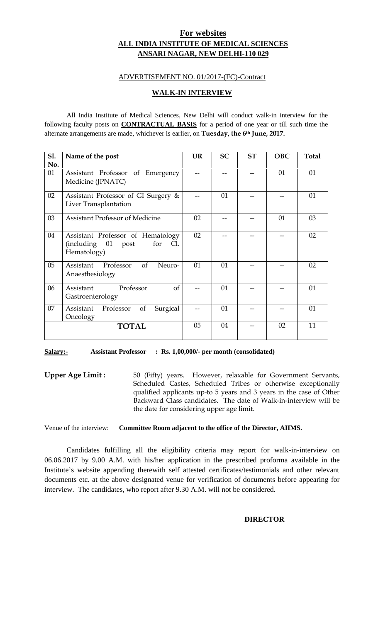## **For websites ALL INDIA INSTITUTE OF MEDICAL SCIENCES ANSARI NAGAR, NEW DELHI-110 029**

## ADVERTISEMENT NO. 01/2017-(FC)-Contract

## **WALK-IN INTERVIEW**

All India Institute of Medical Sciences, New Delhi will conduct walk-in interview for the following faculty posts on **CONTRACTUAL BASIS** for a period of one year or till such time the alternate arrangements are made, whichever is earlier, on **Tuesday, the 6th June, 2017.**

| S1.<br>No. | Name of the post                                                                     | <b>UR</b> | <b>SC</b> | <b>ST</b> | <b>OBC</b> | <b>Total</b> |
|------------|--------------------------------------------------------------------------------------|-----------|-----------|-----------|------------|--------------|
| 01         | Assistant Professor of Emergency<br>Medicine (JPNATC)                                |           |           |           | 01         | 01           |
| 02         | Assistant Professor of GI Surgery &<br>Liver Transplantation                         |           | 01        |           |            | 01           |
| 03         | <b>Assistant Professor of Medicine</b>                                               | 02        |           |           | 01         | 03           |
| 04         | Assistant Professor of Hematology<br>(including 01<br>post<br>for Cl.<br>Hematology) | 02        |           |           |            | 02           |
| 05         | Professor<br>of<br>Assistant<br>Neuro-<br>Anaesthesiology                            | 01        | 01        |           |            | 02           |
| 06         | Professor<br>of<br>Assistant<br>Gastroenterology                                     |           | 01        |           |            | 01           |
| 07         | Professor<br>of<br>Assistant<br>Surgical<br>Oncology                                 |           | 01        |           |            | 01           |
|            | <b>TOTAL</b>                                                                         | 05        | 04        |           | 02         | 11           |

#### **Salary:- Assistant Professor : Rs. 1,00,000/- per month (consolidated)**

**Upper Age Limit :** 50 (Fifty) years. However, relaxable for Government Servants, Scheduled Castes, Scheduled Tribes or otherwise exceptionally qualified applicants up-to 5 years and 3 years in the case of Other Backward Class candidates. The date of Walk-in-interview will be the date for considering upper age limit.

#### Venue of the interview: **Committee Room adjacent to the office of the Director, AIIMS.**

Candidates fulfilling all the eligibility criteria may report for walk-in-interview on 06.06.2017 by 9.00 A.M. with his/her application in the prescribed proforma available in the Institute's website appending therewith self attested certificates/testimonials and other relevant documents etc. at the above designated venue for verification of documents before appearing for interview. The candidates, who report after 9.30 A.M. will not be considered.

#### **DIRECTOR**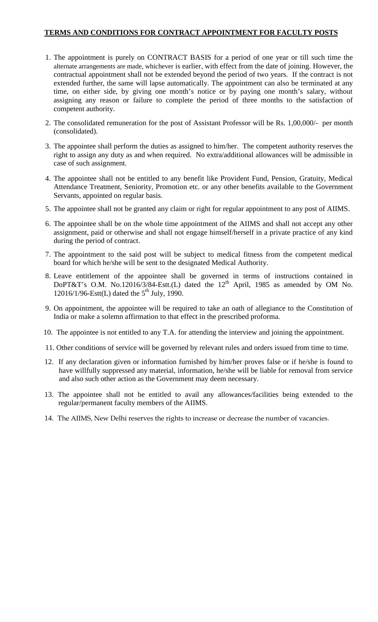## **TERMS AND CONDITIONS FOR CONTRACT APPOINTMENT FOR FACULTY POSTS**

- 1. The appointment is purely on CONTRACT BASIS for a period of one year or till such time the alternate arrangements are made, whichever is earlier, with effect from the date of joining. However, the contractual appointment shall not be extended beyond the period of two years. If the contract is not extended further, the same will lapse automatically. The appointment can also be terminated at any time, on either side, by giving one month's notice or by paying one month's salary, without assigning any reason or failure to complete the period of three months to the satisfaction of competent authority.
- 2. The consolidated remuneration for the post of Assistant Professor will be Rs. 1,00,000/- per month (consolidated).
- 3. The appointee shall perform the duties as assigned to him/her. The competent authority reserves the right to assign any duty as and when required. No extra/additional allowances will be admissible in case of such assignment.
- 4. The appointee shall not be entitled to any benefit like Provident Fund, Pension, Gratuity, Medical Attendance Treatment, Seniority, Promotion etc. or any other benefits available to the Government Servants, appointed on regular basis.
- 5. The appointee shall not be granted any claim or right for regular appointment to any post of AIIMS.
- 6. The appointee shall be on the whole time appointment of the AIIMS and shall not accept any other assignment, paid or otherwise and shall not engage himself/herself in a private practice of any kind during the period of contract.
- 7. The appointment to the said post will be subject to medical fitness from the competent medical board for which he/she will be sent to the designated Medical Authority.
- 8. Leave entitlement of the appointee shall be governed in terms of instructions contained in DoPT&T's O.M. No.12016/3/84-Estt.(L) dated the  $12<sup>th</sup>$  April, 1985 as amended by OM No. 12016/1/96-Estt $(L)$  dated the 5<sup>th</sup> July, 1990.
- 9. On appointment, the appointee will be required to take an oath of allegiance to the Constitution of India or make a solemn affirmation to that effect in the prescribed proforma.
- 10. The appointee is not entitled to any T.A. for attending the interview and joining the appointment.
- 11. Other conditions of service will be governed by relevant rules and orders issued from time to time.
- 12. If any declaration given or information furnished by him/her proves false or if he/she is found to have willfully suppressed any material, information, he/she will be liable for removal from service and also such other action as the Government may deem necessary.
- 13. The appointee shall not be entitled to avail any allowances/facilities being extended to the regular/permanent faculty members of the AIIMS.
- 14. The AIIMS, New Delhi reserves the rights to increase or decrease the number of vacancies.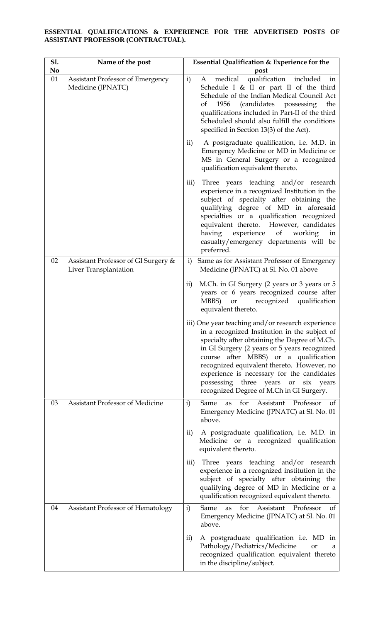#### **ESSENTIAL QUALIFICATIONS & EXPERIENCE FOR THE ADVERTISED POSTS OF ASSISTANT PROFESSOR (CONTRACTUAL).**

| <b>S1.</b><br>N <sub>0</sub> | Name of the post                                             | Essential Qualification & Experience for the<br>post                                                                                                                                                                                                                                                                                                                                                                           |
|------------------------------|--------------------------------------------------------------|--------------------------------------------------------------------------------------------------------------------------------------------------------------------------------------------------------------------------------------------------------------------------------------------------------------------------------------------------------------------------------------------------------------------------------|
| 01                           | <b>Assistant Professor of Emergency</b><br>Medicine (JPNATC) | qualification included<br>i)<br>medical<br>A<br>in<br>Schedule I & II or part II of the third<br>Schedule of the Indian Medical Council Act<br>1956<br>(candidates possessing)<br>the<br>of<br>qualifications included in Part-II of the third<br>Scheduled should also fulfill the conditions<br>specified in Section 13(3) of the Act).                                                                                      |
|                              |                                                              | A postgraduate qualification, i.e. M.D. in<br>$\mathbf{ii}$<br>Emergency Medicine or MD in Medicine or<br>MS in General Surgery or a recognized<br>qualification equivalent thereto.                                                                                                                                                                                                                                           |
|                              |                                                              | Three years teaching and/or research<br>$\overline{iii}$<br>experience in a recognized Institution in the<br>subject of specialty after obtaining the<br>qualifying degree of MD in aforesaid<br>specialties or a qualification recognized<br>equivalent thereto. However, candidates<br>experience<br>of<br>having<br>working<br>in<br>casualty/emergency departments will be<br>preferred.                                   |
| 02                           | Assistant Professor of GI Surgery &<br>Liver Transplantation | Same as for Assistant Professor of Emergency<br>i)<br>Medicine (JPNATC) at Sl. No. 01 above                                                                                                                                                                                                                                                                                                                                    |
|                              |                                                              | M.Ch. in GI Surgery (2 years or 3 years or 5<br>$\mathbf{ii}$<br>years or 6 years recognized course after<br>MBBS)<br>recognized<br>qualification<br>or<br>equivalent thereto.                                                                                                                                                                                                                                                 |
|                              |                                                              | iii) One year teaching and/or research experience<br>in a recognized Institution in the subject of<br>specialty after obtaining the Degree of M.Ch.<br>in GI Surgery (2 years or 5 years recognized<br>course after MBBS) or a qualification<br>recognized equivalent thereto. However, no<br>experience is necessary for the candidates<br>possessing three years or<br>six years<br>recognized Degree of M.Ch in GI Surgery. |
| 03                           | Assistant Professor of Medicine                              | Same<br>for<br>Assistant<br>Professor<br>$\mathbf{i}$<br>as<br>of<br>Emergency Medicine (JPNATC) at Sl. No. 01<br>above.                                                                                                                                                                                                                                                                                                       |
|                              |                                                              | A postgraduate qualification, i.e. M.D. in<br>$\rm ii)$<br>Medicine or a recognized qualification<br>equivalent thereto.                                                                                                                                                                                                                                                                                                       |
|                              |                                                              | Three years teaching and/or research<br>$\overline{iii}$<br>experience in a recognized institution in the<br>subject of specialty after obtaining the<br>qualifying degree of MD in Medicine or a<br>qualification recognized equivalent thereto.                                                                                                                                                                              |
| 04                           | <b>Assistant Professor of Hematology</b>                     | Professor<br>Same<br>for<br>Assistant<br>$\mathbf{i}$<br>as<br>of<br>Emergency Medicine (JPNATC) at Sl. No. 01<br>above.                                                                                                                                                                                                                                                                                                       |
|                              |                                                              | A postgraduate qualification i.e. MD in<br>$\mathbf{ii}$<br>Pathology/Pediatrics/Medicine<br><b>or</b><br>a<br>recognized qualification equivalent thereto<br>in the discipline/subject.                                                                                                                                                                                                                                       |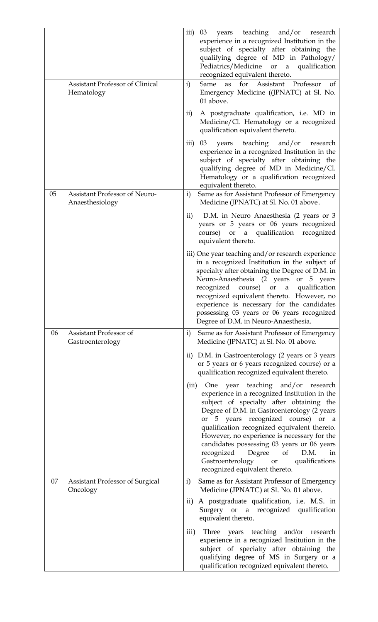|    | <b>Assistant Professor of Clinical</b><br>Hematology    | years teaching and/or research<br>iii)<br>03<br>experience in a recognized Institution in the<br>subject of specialty after obtaining the<br>qualifying degree of MD in Pathology/<br>Pediatrics/Medicine or a qualification<br>recognized equivalent thereto.<br>Same<br>as for Assistant Professor<br>$\mathbf{i}$<br>οf<br>Emergency Medicine ((JPNATC) at Sl. No.<br>01 above.<br>A postgraduate qualification, i.e. MD in<br>$\rm ii)$<br>Medicine/Cl. Hematology or a recognized<br>qualification equivalent thereto.<br>teaching and/or<br>03<br>$\overline{\text{iii}}$<br>years<br>research<br>experience in a recognized Institution in the<br>subject of specialty after obtaining the<br>qualifying degree of MD in Medicine/Cl.<br>Hematology or a qualification recognized<br>equivalent thereto. |
|----|---------------------------------------------------------|-----------------------------------------------------------------------------------------------------------------------------------------------------------------------------------------------------------------------------------------------------------------------------------------------------------------------------------------------------------------------------------------------------------------------------------------------------------------------------------------------------------------------------------------------------------------------------------------------------------------------------------------------------------------------------------------------------------------------------------------------------------------------------------------------------------------|
| 05 | <b>Assistant Professor of Neuro-</b><br>Anaesthesiology | Same as for Assistant Professor of Emergency<br>$\mathbf{i}$<br>Medicine (JPNATC) at Sl. No. 01 above.                                                                                                                                                                                                                                                                                                                                                                                                                                                                                                                                                                                                                                                                                                          |
|    |                                                         | D.M. in Neuro Anaesthesia (2 years or 3<br>$\mathbf{ii}$<br>years or 5 years or 06 years recognized<br>course) or a qualification recognized<br>equivalent thereto.                                                                                                                                                                                                                                                                                                                                                                                                                                                                                                                                                                                                                                             |
|    |                                                         | iii) One year teaching and/or research experience<br>in a recognized Institution in the subject of<br>specialty after obtaining the Degree of D.M. in<br>Neuro-Anaesthesia (2 years or 5 years<br>qualification<br>recognized course) or<br>$\alpha$<br>recognized equivalent thereto. However, no<br>experience is necessary for the candidates<br>possessing 03 years or 06 years recognized<br>Degree of D.M. in Neuro-Anaesthesia.                                                                                                                                                                                                                                                                                                                                                                          |
| 06 | Assistant Professor of<br>Gastroenterology              | Same as for Assistant Professor of Emergency<br>$\mathbf{i}$<br>Medicine (JPNATC) at Sl. No. 01 above.                                                                                                                                                                                                                                                                                                                                                                                                                                                                                                                                                                                                                                                                                                          |
|    |                                                         | ii) D.M. in Gastroenterology (2 years or 3 years<br>or 5 years or 6 years recognized course) or a<br>qualification recognized equivalent thereto.                                                                                                                                                                                                                                                                                                                                                                                                                                                                                                                                                                                                                                                               |
|    |                                                         | One year teaching and/or<br>research<br>(iii)<br>experience in a recognized Institution in the<br>subject of specialty after obtaining the<br>Degree of D.M. in Gastroenterology (2 years<br>or 5 years recognized course) or a<br>qualification recognized equivalent thereto.<br>However, no experience is necessary for the<br>candidates possessing 03 years or 06 years<br>recognized<br>Degree<br>of<br>D.M.<br>in<br>Gastroenterology<br>qualifications<br>or<br>recognized equivalent thereto.                                                                                                                                                                                                                                                                                                          |
| 07 | <b>Assistant Professor of Surgical</b><br>Oncology      | Same as for Assistant Professor of Emergency<br>$\mathbf{i}$<br>Medicine (JPNATC) at Sl. No. 01 above.                                                                                                                                                                                                                                                                                                                                                                                                                                                                                                                                                                                                                                                                                                          |
|    |                                                         | $\mathbf{ii}$<br>A postgraduate qualification, i.e. M.S. in<br>Surgery or a recognized qualification<br>equivalent thereto.                                                                                                                                                                                                                                                                                                                                                                                                                                                                                                                                                                                                                                                                                     |
|    |                                                         | Three years teaching and/or research<br>$\overline{iii}$<br>experience in a recognized Institution in the<br>subject of specialty after obtaining the<br>qualifying degree of MS in Surgery or a<br>qualification recognized equivalent thereto.                                                                                                                                                                                                                                                                                                                                                                                                                                                                                                                                                                |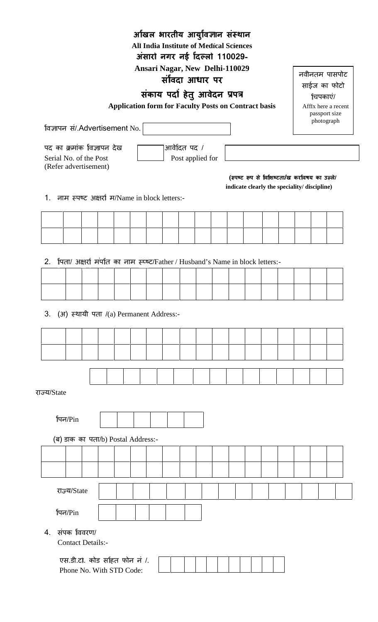|                                                                                     |  |  | Ansari Nagar, New Delhi-110029<br>संविदा आधार पर            |               |                  |  |                                              |  |          | नवीनतम पासपोट               |
|-------------------------------------------------------------------------------------|--|--|-------------------------------------------------------------|---------------|------------------|--|----------------------------------------------|--|----------|-----------------------------|
|                                                                                     |  |  | संकाय पदा हेतु आवेदन प्रपत्र                                |               |                  |  |                                              |  |          | साईज का फोटो                |
|                                                                                     |  |  | <b>Application form for Faculty Posts on Contract basis</b> |               |                  |  |                                              |  | चिपकाएं/ | Affix here a recent         |
|                                                                                     |  |  |                                                             |               |                  |  |                                              |  |          | passport size<br>photograph |
| विज्ञापन सं/.Advertisement No.                                                      |  |  |                                                             |               |                  |  |                                              |  |          |                             |
| पद का क्रमांक विज्ञापन देख                                                          |  |  |                                                             | आर्वेदित पद / |                  |  |                                              |  |          |                             |
| Serial No. of the Post                                                              |  |  |                                                             |               | Post applied for |  |                                              |  |          |                             |
| (Refer advertisement)                                                               |  |  |                                                             |               |                  |  | (स्पष्ट रूप से विशिष्टता/ख करविषय का उन्ले/  |  |          |                             |
|                                                                                     |  |  |                                                             |               |                  |  | indicate clearly the speciality/ discipline) |  |          |                             |
| 1. नाम स्पष्ट अक्षरों म/Name in block letters:-                                     |  |  |                                                             |               |                  |  |                                              |  |          |                             |
|                                                                                     |  |  |                                                             |               |                  |  |                                              |  |          |                             |
|                                                                                     |  |  |                                                             |               |                  |  |                                              |  |          |                             |
|                                                                                     |  |  |                                                             |               |                  |  |                                              |  |          |                             |
| पिता/ अक्षरा मर्पात का नाम स्प्ष्ट/Father / Husband's Name in block letters:-<br>2. |  |  |                                                             |               |                  |  |                                              |  |          |                             |
|                                                                                     |  |  |                                                             |               |                  |  |                                              |  |          |                             |
|                                                                                     |  |  |                                                             |               |                  |  |                                              |  |          |                             |
| (अ) स्थायी पता /(a) Permanent Address:-                                             |  |  |                                                             |               |                  |  |                                              |  |          |                             |
| 3.                                                                                  |  |  |                                                             |               |                  |  |                                              |  |          |                             |
|                                                                                     |  |  |                                                             |               |                  |  |                                              |  |          |                             |
|                                                                                     |  |  |                                                             |               |                  |  |                                              |  |          |                             |
| राज्य/State                                                                         |  |  |                                                             |               |                  |  |                                              |  |          |                             |
|                                                                                     |  |  |                                                             |               |                  |  |                                              |  |          |                             |
| पिन/Pin                                                                             |  |  |                                                             |               |                  |  |                                              |  |          |                             |
| (ब) डाक का पता/b) Postal Address:-                                                  |  |  |                                                             |               |                  |  |                                              |  |          |                             |
|                                                                                     |  |  |                                                             |               |                  |  |                                              |  |          |                             |
|                                                                                     |  |  |                                                             |               |                  |  |                                              |  |          |                             |
|                                                                                     |  |  |                                                             |               |                  |  |                                              |  |          |                             |
| राज्य/State                                                                         |  |  |                                                             |               |                  |  |                                              |  |          |                             |
| पिन/Pin                                                                             |  |  |                                                             |               |                  |  |                                              |  |          |                             |
| संपक विवरण/                                                                         |  |  |                                                             |               |                  |  |                                              |  |          |                             |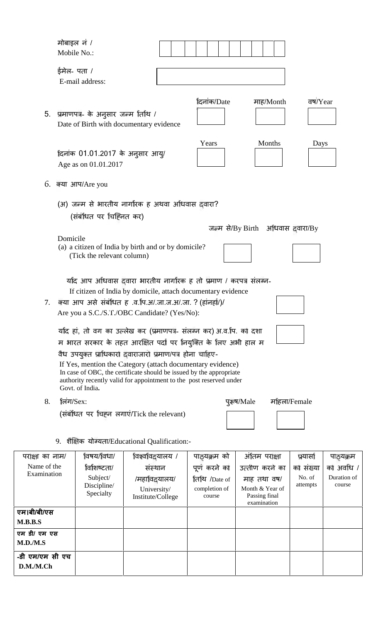|                              | मोबाइल नं /<br>Mobile No.: |                                                          |                                                                                                                                                                                                                                                                      |                                                                  |                                                                                  |                                 |                                    |
|------------------------------|----------------------------|----------------------------------------------------------|----------------------------------------------------------------------------------------------------------------------------------------------------------------------------------------------------------------------------------------------------------------------|------------------------------------------------------------------|----------------------------------------------------------------------------------|---------------------------------|------------------------------------|
|                              | ईमेल- पता /                | E-mail address:                                          |                                                                                                                                                                                                                                                                      |                                                                  |                                                                                  |                                 |                                    |
|                              |                            | 5. प्रमाणपत्र- के अनुसार जन्म तिथि /                     | Date of Birth with documentary evidence                                                                                                                                                                                                                              | दिनांक/Date                                                      | माह/Month                                                                        | वष/Year                         |                                    |
|                              |                            | दिनांक 01.01.2017 के अनुसार आयु/<br>Age as on 01.01.2017 |                                                                                                                                                                                                                                                                      | Years                                                            | Months                                                                           | Days                            |                                    |
| 6.                           |                            | क्या आप/Are you                                          |                                                                                                                                                                                                                                                                      |                                                                  |                                                                                  |                                 |                                    |
|                              |                            | (संबंधित पर चिहिनत कर)                                   | (अ) जन्म से भारतीय नागरिक ह अथवा अधिवास दवारा?                                                                                                                                                                                                                       |                                                                  |                                                                                  |                                 |                                    |
|                              | Domicile                   | (Tick the relevant column)                               | (a) a citizen of India by birth and or by domicile?                                                                                                                                                                                                                  |                                                                  | जन्म से/By Birth अधिवास दवारा/By                                                 |                                 |                                    |
| 7.                           |                            |                                                          | र्याद आप अधिवास दवारा भारतीय नागरिक ह तो प्रमाण / करपत्र संलग्न-<br>If citizen of India by domicile, attach documentary evidence<br>क्या आप असे संबंधित ह .व.पि.अ/.जा.ज.अ/.जा. ? (हांनहां/)/                                                                         |                                                                  |                                                                                  |                                 |                                    |
|                              |                            |                                                          | Are you a S.C./S.T./OBC Candidate? (Yes/No):                                                                                                                                                                                                                         |                                                                  |                                                                                  |                                 |                                    |
|                              |                            |                                                          | र्याद हां, तो वग का उल्लेख कर (प्रमाणपत्र- संलग्न कर) अ.व.पि. को दशा                                                                                                                                                                                                 |                                                                  |                                                                                  |                                 |                                    |
|                              |                            |                                                          | म भारत सरकार के तहत आरक्षित पर्दा पर नियुक्ति के लिए अभी हाल म                                                                                                                                                                                                       |                                                                  |                                                                                  |                                 |                                    |
|                              |                            | Govt. of India.                                          | वैध उपयुक्त प्राधिकारा दवाराजारो प्रमाण/पत्र होना चाहिए-<br>If Yes, mention the Category (attach documentary evidence)<br>In case of OBC, the certificate should be issued by the appropriate<br>authority recently valid for appointment to the post reserved under |                                                                  |                                                                                  |                                 |                                    |
| 8.                           | तिंग/ $Sex$                |                                                          |                                                                                                                                                                                                                                                                      |                                                                  | पुरूष/Male                                                                       | र्माहला/Female                  |                                    |
|                              |                            |                                                          | (संबंधित पर चिंहन लगाएं/Tick the relevant)                                                                                                                                                                                                                           |                                                                  |                                                                                  |                                 |                                    |
|                              |                            |                                                          | 9. शैक्षिक योग्यता/Educational Qualification:-                                                                                                                                                                                                                       |                                                                  |                                                                                  |                                 |                                    |
| परोक्षा का नाम/              |                            | विषय/विधा/                                               | विश्वविद्यालय /                                                                                                                                                                                                                                                      | पाठ्यक्रम को                                                     | अंतिम परोक्षा                                                                    | प्रयासी                         | पाठ्यक्रम                          |
| Name of the<br>Examination   |                            | विशिष्टता/<br>Subject/<br>Discipline/<br>Specialty       | संस्थान<br>/महाविदयालय/<br>University/<br>Institute/College                                                                                                                                                                                                          | पूर्ण करने को<br><b>तिथि</b> /Date of<br>completion of<br>course | उत्तीण करने का<br>माह तथा वष/<br>Month & Year of<br>Passing final<br>examination | को संख्या<br>No. of<br>attempts | को अवधि ।<br>Duration of<br>course |
| एम।बी/बी/एस<br>M.B.B.S       |                            |                                                          |                                                                                                                                                                                                                                                                      |                                                                  |                                                                                  |                                 |                                    |
| एम डी/ एम एस<br>M.D./M.S     |                            |                                                          |                                                                                                                                                                                                                                                                      |                                                                  |                                                                                  |                                 |                                    |
| -डी एम/एम सी एच<br>D.M./M.Ch |                            |                                                          |                                                                                                                                                                                                                                                                      |                                                                  |                                                                                  |                                 |                                    |
|                              |                            |                                                          |                                                                                                                                                                                                                                                                      |                                                                  |                                                                                  |                                 |                                    |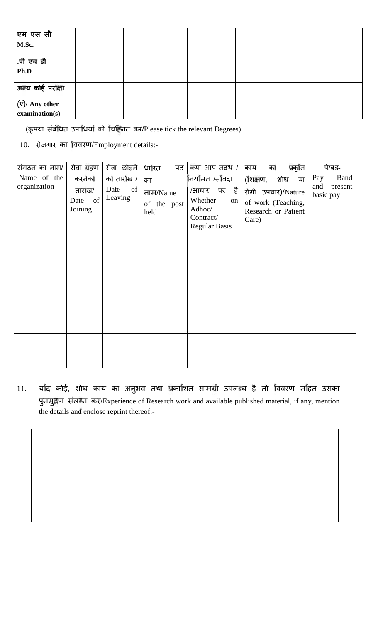| एम एस सी<br>M.Sc.                                             |  |  |  |
|---------------------------------------------------------------|--|--|--|
| .पी एच डी<br>Ph.D                                             |  |  |  |
| अन्य कोई परक्षिा<br>$(\vec{v})$ / Any other<br>examination(s) |  |  |  |

(कृपया संबंधित उपाधियां को चिह्नित कर/Please tick the relevant Degrees)

10. रोजगार का ववरण/Employment details:-

| संगठन का नाम/<br>Name of the<br>organization | सेवा ग्रहण<br>करनेको<br>तारोख/<br>of<br>Date<br>Joining | सेवा छोड़ने<br>को तारोख /<br>of<br>Date<br>Leaving | धारित<br>पद<br>का<br>नाम/Name<br>of the post<br>held | क्या आप तदथ /<br>निर्यामत /संविदा<br>/आधार पर है<br>Whether<br>on<br>Adhoc/<br>Contract/<br><b>Regular Basis</b> | प्रकृति<br>का<br>काय<br>(शिक्षण,<br>शोध<br>या<br>रोगी उपचार)/Nature<br>of work (Teaching,<br>Research or Patient<br>Care) | पे/बड-<br>Band<br>Pay<br>and<br>present<br>basic pay |
|----------------------------------------------|---------------------------------------------------------|----------------------------------------------------|------------------------------------------------------|------------------------------------------------------------------------------------------------------------------|---------------------------------------------------------------------------------------------------------------------------|------------------------------------------------------|
|                                              |                                                         |                                                    |                                                      |                                                                                                                  |                                                                                                                           |                                                      |
|                                              |                                                         |                                                    |                                                      |                                                                                                                  |                                                                                                                           |                                                      |

11. याद कोई, शोध काय का अनुभव तथा प्रकाशित सामग्री उपलब्ध है तो विवरण सहित उसका पुनमुद्रण संलग्न कर/Experience of Research work and available published material, if any, mention the details and enclose reprint thereof:-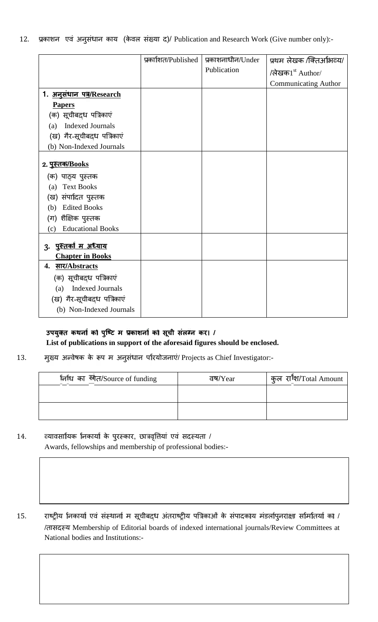|  | 12. प्रकाशन एवं अनुसंधान काय (केवल संख्या द)/ Publication and Research Work (Give number only):- |  |  |  |  |
|--|--------------------------------------------------------------------------------------------------|--|--|--|--|

|                                 | प्रकाशित/Published | प्रकाशनाधीन/Under | प्रथम लेखक /क्तिर्आभव्य/     |
|---------------------------------|--------------------|-------------------|------------------------------|
|                                 |                    | Publication       | /लेखक1 <sup>st</sup> Author/ |
|                                 |                    |                   | <b>Communicating Author</b>  |
| 1. अनुसंधान पत्र/Research       |                    |                   |                              |
| <b>Papers</b>                   |                    |                   |                              |
| (क) सूचीबद्ध पत्रिकाएं          |                    |                   |                              |
| <b>Indexed Journals</b><br>(a)  |                    |                   |                              |
| (ख) गैर-सूचीबद्ध पत्रिकाएं      |                    |                   |                              |
| (b) Non-Indexed Journals        |                    |                   |                              |
|                                 |                    |                   |                              |
| <u>2. पुस्तक/Books</u>          |                    |                   |                              |
| (क) पाठ्य पुस्तक                |                    |                   |                              |
| <b>Text Books</b><br>(a)        |                    |                   |                              |
| (ख) संपादित पुस्तक              |                    |                   |                              |
| <b>Edited Books</b><br>(b)      |                    |                   |                              |
| (ग) शैक्षिक पुस्तक              |                    |                   |                              |
| <b>Educational Books</b><br>(c) |                    |                   |                              |
|                                 |                    |                   |                              |
| <u>3. पुस्तको म अध्याय</u>      |                    |                   |                              |
| <b>Chapter in Books</b>         |                    |                   |                              |
| <u>सार/Abstracts</u><br>4.      |                    |                   |                              |
| (क) सूचीबद्ध पत्रिकाएं          |                    |                   |                              |
| <b>Indexed Journals</b><br>(a)  |                    |                   |                              |
| (ख) गैर-सूचीबद्ध पत्रिकाएं      |                    |                   |                              |
| (b) Non-Indexed Journals        |                    |                   |                              |

# उपयुक्त कथनां का पुष्टि म प्रकाशनां का सूची संलग्न कर। /

| निधि का स्रोत/Source of funding | वष/ $Year$ | कुल राश/Total Amount |
|---------------------------------|------------|----------------------|
|                                 |            |                      |
|                                 |            |                      |
|                                 |            |                      |

- 
- 15. राष्ट्रीय निकार्या एवं संस्थानों म सूचीबद्ध अंतराष्ट्रीय पत्रिकाओं के संपादकाय मंडलांपुनराक्षा समितियां का / /तासद य Membership of Editorial boards of indexed international journals/Review Committees at National bodies and Institutions:-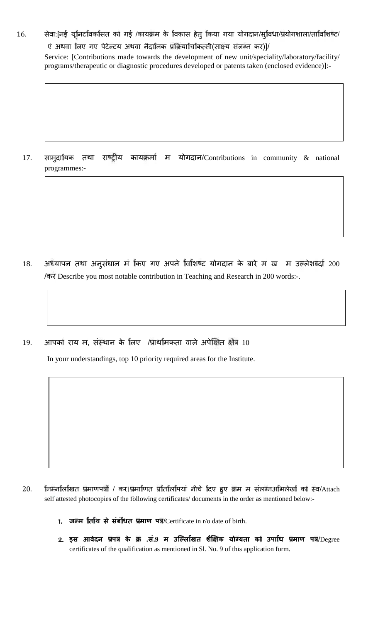## 16. सेवा:[नई यूनिटविकसित का गई /कायक्रम के विकास हेतु किया गया योगदान/सुविधा/प्रयोगशाला/ताविशिष्ट/

एं अथवा लिए गए पेटेन्टय अथवा नैदानिक प्रक्रियाचिकित्सी(साक्ष्य संलग्न कर)]/ Service: [Contributions made towards the development of new unit/speciality/laboratory/facility/ programs/therapeutic or diagnostic procedures developed or patents taken (enclosed evidence)]:-

17. सामुदायिक तथा राष्ट्रीय कायक्रमां म योगदान/Contributions in community  $\&$  national programmes:-

- 18. अध्यापन तथा अनुसंधान मं किए गए अपने विशिष्ट योगदान के बारे म ख म उल्लेशब्दा 200 /कर Describe you most notable contribution in Teaching and Research in 200 words:-.
- 19. आपको राय म, संस्थान के लिए /प्राथमिकता वाले अपेक्षित क्षेत्र 10

In your understandings, top 10 priority required areas for the Institute.

- 20. निम्नलिखित प्रमाणपत्रों / कर।प्रमाणित प्रतिलिपियां नीचे दिए हुए क्रम म संलग्नअभिलेखों को स्व/Attach self attested photocopies of the following certificates/ documents in the order as mentioned below:-
	- **1. ज म <sup>त</sup> थ से संबंधत माण प** /Certificate in r/o date of birth.
	- **2. इस आवेदन प के .सं.<sup>9</sup> म उि <sup>ल</sup> खत शै <sup>क</sup> यो यता क उपा <sup>ध</sup> माण प** /Degree certificates of the qualification as mentioned in Sl. No. 9 of this application form.